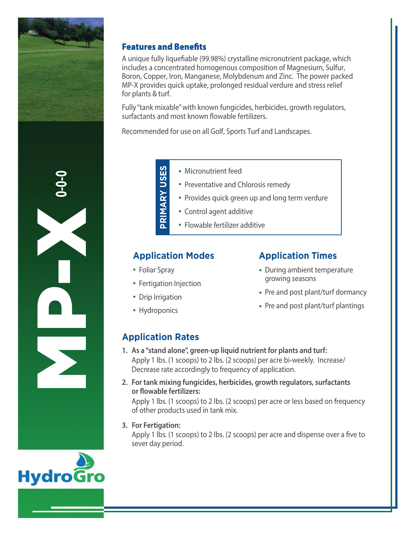

## **Features and Benefits**

A unique fully liquefiable (99.98%) crystalline micronutrient package, which includes a concentrated homogenous composition of Magnesium, Sulfur, Boron, Copper, Iron, Manganese, Molybdenum and Zinc. The power packed MP-X provides quick uptake, prolonged residual verdure and stress relief for plants & turf.

Fully "tank mixable" with known fungicides, herbicides, growth regulators, surfactants and most known flowable fertilizers.

Recommended for use on all Golf, Sports Turf and Landscapes.

**0-0-0** MP-X

- Micronutrient feed
- Preventative and Chlorosis remedy
- Provides quick green up and long term verdure
- Control agent additive
- Flowable fertilizer additive

## **Application Modes**

- Foliar Spray
- Fertigation Injection

PRIMARY USES

**RY USES**

- Drip Irrigation
- Hydroponics

## **Application Times**

- During ambient temperature growing seasons
- Pre and post plant/turf dormancy
- Pre and post plant/turf plantings

## **Application Rates**

- **1. As a "stand alone", green-up liquid nutrient for plants and turf:** Apply 1 lbs. (1 scoops) to 2 lbs. (2 scoops) per acre bi-weekly. Increase/ Decrease rate accordingly to frequency of application.
- **2. For tank mixing fungicides, herbicides, growth regulators, surfactants or flowable fertilizers:**

Apply 1 lbs. (1 scoops) to 2 lbs. (2 scoops) per acre or less based on frequency of other products used in tank mix.

**3. For Fertigation:**

Apply 1 lbs. (1 scoops) to 2 lbs. (2 scoops) per acre and dispense over a five to sever day period.